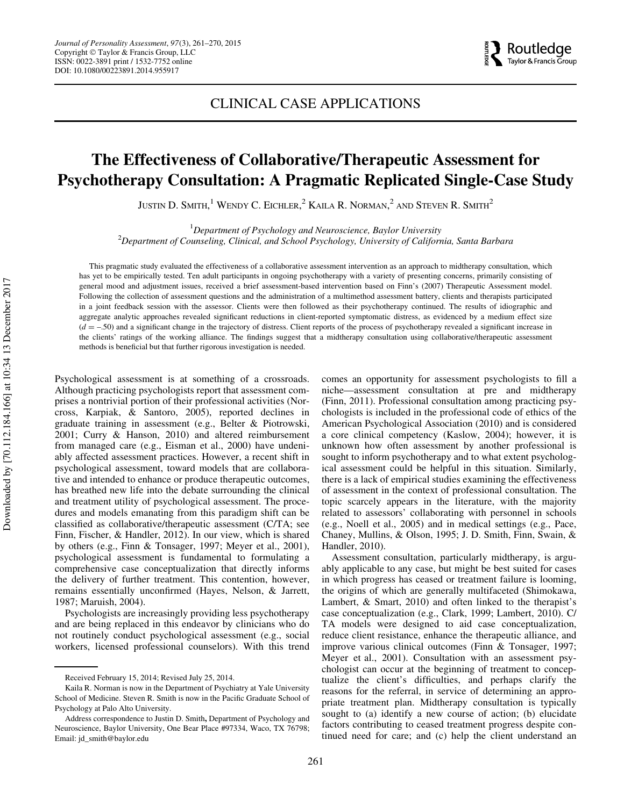

## CLINICAL CASE APPLICATIONS

# The Effectiveness of Collaborative/Therapeutic Assessment for Psychotherapy Consultation: A Pragmatic Replicated Single-Case Study

JUSTIN D. SMITH, $^1$  Wendy C. Eichler, $^2$  Kaila R. Norman, $^2$  and Steven R. Smith $^2$ 

<sup>1</sup> Department of Psychology and Neuroscience, Baylor University<sup>2</sup><br><sup>2</sup> Department of Counseling, Clinical, and School Psychology, University of Californ

 $^{2}$ Department of Counseling, Clinical, and School Psychology, University of California, Santa Barbara

This pragmatic study evaluated the effectiveness of a collaborative assessment intervention as an approach to midtherapy consultation, which has yet to be empirically tested. Ten adult participants in ongoing psychotherapy with a variety of presenting concerns, primarily consisting of general mood and adjustment issues, received a brief assessment-based intervention based on Finn's (2007) Therapeutic Assessment model. Following the collection of assessment questions and the administration of a multimethod assessment battery, clients and therapists participated in a joint feedback session with the assessor. Clients were then followed as their psychotherapy continued. The results of idiographic and aggregate analytic approaches revealed significant reductions in client-reported symptomatic distress, as evidenced by a medium effect size  $(d = -50)$  and a significant change in the trajectory of distress. Client reports of the process of psychotherapy revealed a significant increase in the clients' ratings of the working alliance. The findings suggest that a midtherapy consultation using collaborative/therapeutic assessment methods is beneficial but that further rigorous investigation is needed.

Psychological assessment is at something of a crossroads. Although practicing psychologists report that assessment comprises a nontrivial portion of their professional activities (Norcross, Karpiak, & Santoro, 2005), reported declines in graduate training in assessment (e.g., Belter & Piotrowski, 2001; Curry & Hanson, 2010) and altered reimbursement from managed care (e.g., Eisman et al., 2000) have undeniably affected assessment practices. However, a recent shift in psychological assessment, toward models that are collaborative and intended to enhance or produce therapeutic outcomes, has breathed new life into the debate surrounding the clinical and treatment utility of psychological assessment. The procedures and models emanating from this paradigm shift can be classified as collaborative/therapeutic assessment (C/TA; see Finn, Fischer, & Handler, 2012). In our view, which is shared by others (e.g., Finn & Tonsager, 1997; Meyer et al., 2001), psychological assessment is fundamental to formulating a comprehensive case conceptualization that directly informs the delivery of further treatment. This contention, however, remains essentially unconfirmed (Hayes, Nelson, & Jarrett, 1987; Maruish, 2004).

Psychologists are increasingly providing less psychotherapy and are being replaced in this endeavor by clinicians who do not routinely conduct psychological assessment (e.g., social workers, licensed professional counselors). With this trend comes an opportunity for assessment psychologists to fill a niche—assessment consultation at pre and midtherapy (Finn, 2011). Professional consultation among practicing psychologists is included in the professional code of ethics of the American Psychological Association (2010) and is considered a core clinical competency (Kaslow, 2004); however, it is unknown how often assessment by another professional is sought to inform psychotherapy and to what extent psychological assessment could be helpful in this situation. Similarly, there is a lack of empirical studies examining the effectiveness of assessment in the context of professional consultation. The topic scarcely appears in the literature, with the majority related to assessors' collaborating with personnel in schools (e.g., Noell et al., 2005) and in medical settings (e.g., Pace, Chaney, Mullins, & Olson, 1995; J. D. Smith, Finn, Swain, & Handler, 2010).

Assessment consultation, particularly midtherapy, is arguably applicable to any case, but might be best suited for cases in which progress has ceased or treatment failure is looming, the origins of which are generally multifaceted (Shimokawa, Lambert, & Smart, 2010) and often linked to the therapist's case conceptualization (e.g., Clark, 1999; Lambert, 2010). C/ TA models were designed to aid case conceptualization, reduce client resistance, enhance the therapeutic alliance, and improve various clinical outcomes (Finn & Tonsager, 1997; Meyer et al., 2001). Consultation with an assessment psychologist can occur at the beginning of treatment to conceptualize the client's difficulties, and perhaps clarify the reasons for the referral, in service of determining an appropriate treatment plan. Midtherapy consultation is typically sought to (a) identify a new course of action; (b) elucidate factors contributing to ceased treatment progress despite continued need for care; and (c) help the client understand an

Received February 15, 2014; Revised July 25, 2014.

Kaila R. Norman is now in the Department of Psychiatry at Yale University School of Medicine. Steven R. Smith is now in the Pacific Graduate School of Psychology at Palo Alto University.

Address correspondence to Justin D. Smith, Department of Psychology and Neuroscience, Baylor University, One Bear Place #97334, Waco, TX 76798; Email: jd\_smith@baylor.edu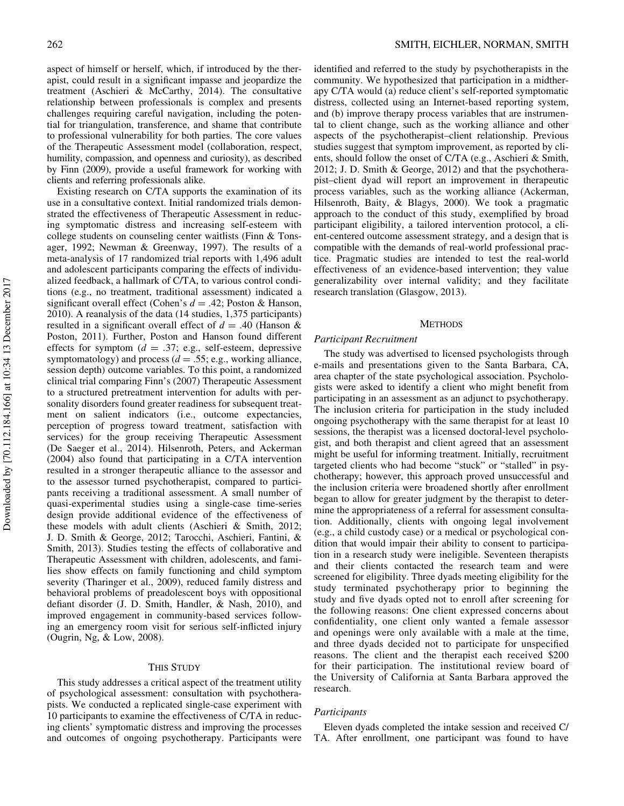aspect of himself or herself, which, if introduced by the therapist, could result in a significant impasse and jeopardize the treatment (Aschieri & McCarthy, 2014). The consultative relationship between professionals is complex and presents challenges requiring careful navigation, including the potential for triangulation, transference, and shame that contribute to professional vulnerability for both parties. The core values of the Therapeutic Assessment model (collaboration, respect, humility, compassion, and openness and curiosity), as described by Finn (2009), provide a useful framework for working with clients and referring professionals alike.

Existing research on C/TA supports the examination of its use in a consultative context. Initial randomized trials demonstrated the effectiveness of Therapeutic Assessment in reducing symptomatic distress and increasing self-esteem with college students on counseling center waitlists (Finn & Tonsager, 1992; Newman & Greenway, 1997). The results of a meta-analysis of 17 randomized trial reports with 1,496 adult and adolescent participants comparing the effects of individualized feedback, a hallmark of C/TA, to various control conditions (e.g., no treatment, traditional assessment) indicated a significant overall effect (Cohen's  $d = .42$ ; Poston & Hanson, 2010). A reanalysis of the data (14 studies, 1,375 participants) resulted in a significant overall effect of  $d = .40$  (Hanson & Poston, 2011). Further, Poston and Hanson found different effects for symptom ( $d = .37$ ; e.g., self-esteem, depressive symptomatology) and process ( $d = .55$ ; e.g., working alliance, session depth) outcome variables. To this point, a randomized clinical trial comparing Finn's (2007) Therapeutic Assessment to a structured pretreatment intervention for adults with personality disorders found greater readiness for subsequent treatment on salient indicators (i.e., outcome expectancies, perception of progress toward treatment, satisfaction with services) for the group receiving Therapeutic Assessment (De Saeger et al., 2014). Hilsenroth, Peters, and Ackerman (2004) also found that participating in a C/TA intervention resulted in a stronger therapeutic alliance to the assessor and to the assessor turned psychotherapist, compared to participants receiving a traditional assessment. A small number of quasi-experimental studies using a single-case time-series design provide additional evidence of the effectiveness of these models with adult clients (Aschieri & Smith, 2012; J. D. Smith & George, 2012; Tarocchi, Aschieri, Fantini, & Smith, 2013). Studies testing the effects of collaborative and Therapeutic Assessment with children, adolescents, and families show effects on family functioning and child symptom severity (Tharinger et al., 2009), reduced family distress and behavioral problems of preadolescent boys with oppositional defiant disorder (J. D. Smith, Handler, & Nash, 2010), and improved engagement in community-based services following an emergency room visit for serious self-inflicted injury (Ougrin, Ng, & Low, 2008).

#### THIS STUDY

This study addresses a critical aspect of the treatment utility of psychological assessment: consultation with psychotherapists. We conducted a replicated single-case experiment with 10 participants to examine the effectiveness of C/TA in reducing clients' symptomatic distress and improving the processes and outcomes of ongoing psychotherapy. Participants were identified and referred to the study by psychotherapists in the community. We hypothesized that participation in a midtherapy C/TA would (a) reduce client's self-reported symptomatic distress, collected using an Internet-based reporting system, and (b) improve therapy process variables that are instrumental to client change, such as the working alliance and other aspects of the psychotherapist–client relationship. Previous studies suggest that symptom improvement, as reported by clients, should follow the onset of C/TA (e.g., Aschieri & Smith, 2012; J. D. Smith & George, 2012) and that the psychotherapist–client dyad will report an improvement in therapeutic process variables, such as the working alliance (Ackerman, Hilsenroth, Baity, & Blagys, 2000). We took a pragmatic approach to the conduct of this study, exemplified by broad participant eligibility, a tailored intervention protocol, a client-centered outcome assessment strategy, and a design that is compatible with the demands of real-world professional practice. Pragmatic studies are intended to test the real-world effectiveness of an evidence-based intervention; they value generalizability over internal validity; and they facilitate research translation (Glasgow, 2013).

#### **METHODS**

#### Participant Recruitment

The study was advertised to licensed psychologists through e-mails and presentations given to the Santa Barbara, CA, area chapter of the state psychological association. Psychologists were asked to identify a client who might benefit from participating in an assessment as an adjunct to psychotherapy. The inclusion criteria for participation in the study included ongoing psychotherapy with the same therapist for at least 10 sessions, the therapist was a licensed doctoral-level psychologist, and both therapist and client agreed that an assessment might be useful for informing treatment. Initially, recruitment targeted clients who had become "stuck" or "stalled" in psychotherapy; however, this approach proved unsuccessful and the inclusion criteria were broadened shortly after enrollment began to allow for greater judgment by the therapist to determine the appropriateness of a referral for assessment consultation. Additionally, clients with ongoing legal involvement (e.g., a child custody case) or a medical or psychological condition that would impair their ability to consent to participation in a research study were ineligible. Seventeen therapists and their clients contacted the research team and were screened for eligibility. Three dyads meeting eligibility for the study terminated psychotherapy prior to beginning the study and five dyads opted not to enroll after screening for the following reasons: One client expressed concerns about confidentiality, one client only wanted a female assessor and openings were only available with a male at the time, and three dyads decided not to participate for unspecified reasons. The client and the therapist each received \$200 for their participation. The institutional review board of the University of California at Santa Barbara approved the research.

#### **Participants**

Eleven dyads completed the intake session and received C/ TA. After enrollment, one participant was found to have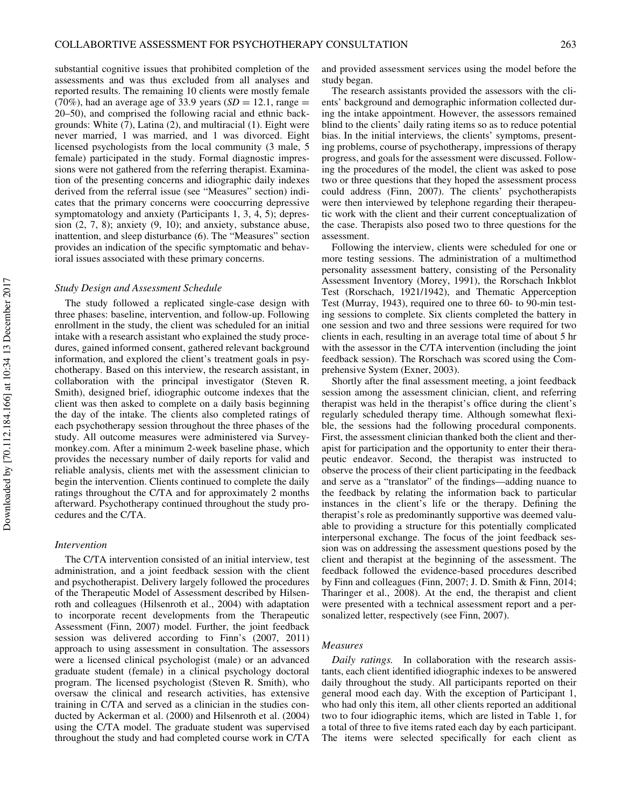substantial cognitive issues that prohibited completion of the assessments and was thus excluded from all analyses and reported results. The remaining 10 clients were mostly female (70%), had an average age of 33.9 years ( $SD = 12.1$ , range  $=$ 20–50), and comprised the following racial and ethnic backgrounds: White (7), Latina (2), and multiracial (1). Eight were never married, 1 was married, and 1 was divorced. Eight licensed psychologists from the local community (3 male, 5 female) participated in the study. Formal diagnostic impressions were not gathered from the referring therapist. Examination of the presenting concerns and idiographic daily indexes derived from the referral issue (see "Measures" section) indicates that the primary concerns were cooccurring depressive symptomatology and anxiety (Participants 1, 3, 4, 5); depression (2, 7, 8); anxiety (9, 10); and anxiety, substance abuse, inattention, and sleep disturbance (6). The "Measures" section provides an indication of the specific symptomatic and behavioral issues associated with these primary concerns.

## Study Design and Assessment Schedule

The study followed a replicated single-case design with three phases: baseline, intervention, and follow-up. Following enrollment in the study, the client was scheduled for an initial intake with a research assistant who explained the study procedures, gained informed consent, gathered relevant background information, and explored the client's treatment goals in psychotherapy. Based on this interview, the research assistant, in collaboration with the principal investigator (Steven R. Smith), designed brief, idiographic outcome indexes that the client was then asked to complete on a daily basis beginning the day of the intake. The clients also completed ratings of each psychotherapy session throughout the three phases of the study. All outcome measures were administered via Surveymonkey.com. After a minimum 2-week baseline phase, which provides the necessary number of daily reports for valid and reliable analysis, clients met with the assessment clinician to begin the intervention. Clients continued to complete the daily ratings throughout the C/TA and for approximately 2 months afterward. Psychotherapy continued throughout the study procedures and the C/TA.

#### Intervention

The C/TA intervention consisted of an initial interview, test administration, and a joint feedback session with the client and psychotherapist. Delivery largely followed the procedures of the Therapeutic Model of Assessment described by Hilsenroth and colleagues (Hilsenroth et al., 2004) with adaptation to incorporate recent developments from the Therapeutic Assessment (Finn, 2007) model. Further, the joint feedback session was delivered according to Finn's (2007, 2011) approach to using assessment in consultation. The assessors were a licensed clinical psychologist (male) or an advanced graduate student (female) in a clinical psychology doctoral program. The licensed psychologist (Steven R. Smith), who oversaw the clinical and research activities, has extensive training in C/TA and served as a clinician in the studies conducted by Ackerman et al. (2000) and Hilsenroth et al. (2004) using the C/TA model. The graduate student was supervised throughout the study and had completed course work in C/TA

and provided assessment services using the model before the study began.

The research assistants provided the assessors with the clients' background and demographic information collected during the intake appointment. However, the assessors remained blind to the clients' daily rating items so as to reduce potential bias. In the initial interviews, the clients' symptoms, presenting problems, course of psychotherapy, impressions of therapy progress, and goals for the assessment were discussed. Following the procedures of the model, the client was asked to pose two or three questions that they hoped the assessment process could address (Finn, 2007). The clients' psychotherapists were then interviewed by telephone regarding their therapeutic work with the client and their current conceptualization of the case. Therapists also posed two to three questions for the assessment.

Following the interview, clients were scheduled for one or more testing sessions. The administration of a multimethod personality assessment battery, consisting of the Personality Assessment Inventory (Morey, 1991), the Rorschach Inkblot Test (Rorschach, 1921/1942), and Thematic Apperception Test (Murray, 1943), required one to three 60- to 90-min testing sessions to complete. Six clients completed the battery in one session and two and three sessions were required for two clients in each, resulting in an average total time of about 5 hr with the assessor in the C/TA intervention (including the joint feedback session). The Rorschach was scored using the Comprehensive System (Exner, 2003).

Shortly after the final assessment meeting, a joint feedback session among the assessment clinician, client, and referring therapist was held in the therapist's office during the client's regularly scheduled therapy time. Although somewhat flexible, the sessions had the following procedural components. First, the assessment clinician thanked both the client and therapist for participation and the opportunity to enter their therapeutic endeavor. Second, the therapist was instructed to observe the process of their client participating in the feedback and serve as a "translator" of the findings—adding nuance to the feedback by relating the information back to particular instances in the client's life or the therapy. Defining the therapist's role as predominantly supportive was deemed valuable to providing a structure for this potentially complicated interpersonal exchange. The focus of the joint feedback session was on addressing the assessment questions posed by the client and therapist at the beginning of the assessment. The feedback followed the evidence-based procedures described by Finn and colleagues (Finn, 2007; J. D. Smith & Finn, 2014; Tharinger et al., 2008). At the end, the therapist and client were presented with a technical assessment report and a personalized letter, respectively (see Finn, 2007).

#### Measures

Daily ratings. In collaboration with the research assistants, each client identified idiographic indexes to be answered daily throughout the study. All participants reported on their general mood each day. With the exception of Participant 1, who had only this item, all other clients reported an additional two to four idiographic items, which are listed in Table 1, for a total of three to five items rated each day by each participant. The items were selected specifically for each client as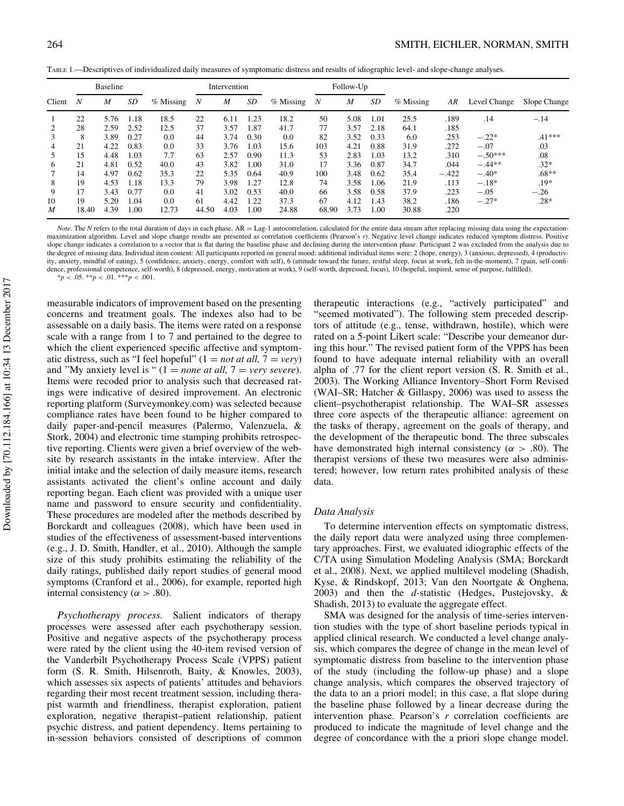TABLE 1.—Descriptives of individualized daily measures of symptomatic distress and results of idiographic level- and slope-change analyses.

|        | Baseline |              |              | Intervention |          |              |              | Follow-Up    |          |              |              |              |              |              |              |
|--------|----------|--------------|--------------|--------------|----------|--------------|--------------|--------------|----------|--------------|--------------|--------------|--------------|--------------|--------------|
| Client | N        | M            | SD           | $%$ Missing  | N        | M            | SD           | $%$ Missing  | N        | M            | <b>SD</b>    | $%$ Missing  | AR           | Level Change | Slope Change |
|        | 22<br>28 | 5.76<br>2.59 | 1.18<br>2.52 | 18.5<br>12.5 | 22<br>37 | 6.11<br>3.57 | 1.23<br>1.87 | 18.2<br>41.7 | 50<br>77 | 5.08<br>3.57 | 1.01<br>2.18 | 25.5<br>64.1 | .189<br>.185 | .14          | $-.14$       |
|        | 8        | 3.89         | 0.27         | 0.0          | 44       | 3.74         | 0.30         | 0.0          | 82       | 3.52         | 0.33         | 6.0          | .253         | $-.22*$      | $.41***$     |
| 4      | 21       | 4.22         | 0.83         | 0.0          | 33       | 3.76         | 1.03         | 15.6         | 103      | 4.21         | 0.88         | 31.9         | .272         | $-.07$       | .03          |
|        | 15       | 4.48         | 1.03         | 7.7          | 63       | 2.57         | 0.90         | 11.3         | 53       | 2.83         | 1.03         | 13.2         | .310         | $-.50***$    | .08          |
| 6      | 21       | 4.81         | 0.52         | 40.0         | 43       | 3.82         | 1.00         | 31.0         | 17       | 3.36         | 0.87         | 34.7         | .044         | $-.44**$     | $.32*$       |
|        | 14       | 4.97         | 0.62         | 35.3         | 22       | 5.35         | 0.64         | 40.9         | 100      | 3.48         | 0.62         | 35.4         | $-.422$      | $-.40*$      | $.68**$      |
| 8      | 19       | 4.53         | 1.18         | 13.3         | 79       | 3.98         | 1.27         | 12.8         | 74       | 3.58         | 1.06         | 21.9         | .113         | $-.18*$      | .19*         |
| 9      | 17       | 3.43         | 0.77         | 0.0          | 41       | 3.02         | 0.53         | 40.0         | 66       | 3.58         | 0.58         | 37.9         | .223         | $-.05$       | $-.26$       |
| 10     | 19       | 5.20         | 1.04         | 0.0          | 61       | 4.42         | 1.22         | 37.3         | 67       | 4.12         | 1.43         | 38.2         | .186         | $-.27*$      | $.28*$       |
| M      | 18.40    | 4.39         | 1.00         | 12.73        | 44.50    | 4.03         | 1.00         | 24.88        | 68.90    | 3.73         | 1.00         | 30.88        | .220         |              |              |

Note. The N refers to the total duration of days in each phase.  $AR = Lag-1$  autocorrelation, calculated for the entire data stream after replacing missing data using the expectationmaximization algorithm. Level and slope change results are presented as correlation coefficients (Pearson's r). Negative level change indicates reduced symptom distress. Positive slope change indicates a correlation to a vector that is flat during the baseline phase and declining during the intervention phase. Participant 2 was excluded from the analysis due to the degree of missing data. Individual item content: All participants reported on general mood; additional individual items were: 2 (hope, energy), 3 (anxious, depressed), 4 (productivity, anxiety, mindful of eating), 5 (confidence, anxiety, energy, comfort with self), 6 (attitude toward the future, restful sleep, focus at work, felt in-the-moment), 7 (pain, self-confidence, professional competence, self-worth), 8 (depressed, energy, motivation at work), 9 (self-worth, depressed, focus), 10 (hopeful, inspired, sense of purpose, fulfilled).<br>
\*p < .05. \*\*p < .01. \*\*\*p < .001.

measurable indicators of improvement based on the presenting concerns and treatment goals. The indexes also had to be assessable on a daily basis. The items were rated on a response scale with a range from 1 to 7 and pertained to the degree to which the client experienced specific affective and symptomatic distress, such as "I feel hopeful" (1 = *not at all*, 7 = *very*) and "My anxiety level is "  $(1 = none at all, 7 = very severe)$ . Items were recoded prior to analysis such that decreased ratings were indicative of desired improvement. An electronic reporting platform (Surveymonkey.com) was selected because compliance rates have been found to be higher compared to daily paper-and-pencil measures (Palermo, Valenzuela, & Stork, 2004) and electronic time stamping prohibits retrospective reporting. Clients were given a brief overview of the website by research assistants in the intake interview. After the initial intake and the selection of daily measure items, research assistants activated the client's online account and daily reporting began. Each client was provided with a unique user name and password to ensure security and confidentiality. These procedures are modeled after the methods described by Borckardt and colleagues (2008), which have been used in studies of the effectiveness of assessment-based interventions (e.g., J. D. Smith, Handler, et al., 2010). Although the sample size of this study prohibits estimating the reliability of the daily ratings, published daily report studies of general mood symptoms (Cranford et al., 2006), for example, reported high internal consistency ( $\alpha > .80$ ).

Psychotherapy process. Salient indicators of therapy processes were assessed after each psychotherapy session. Positive and negative aspects of the psychotherapy process were rated by the client using the 40-item revised version of the Vanderbilt Psychotherapy Process Scale (VPPS) patient form (S. R. Smith, Hilsenroth, Baity, & Knowles, 2003), which assesses six aspects of patients' attitudes and behaviors regarding their most recent treatment session, including therapist warmth and friendliness, therapist exploration, patient exploration, negative therapist–patient relationship, patient psychic distress, and patient dependency. Items pertaining to in-session behaviors consisted of descriptions of common

therapeutic interactions (e.g., "actively participated" and "seemed motivated"). The following stem preceded descriptors of attitude (e.g., tense, withdrawn, hostile), which were rated on a 5-point Likert scale: "Describe your demeanor during this hour." The revised patient form of the VPPS has been found to have adequate internal reliability with an overall alpha of .77 for the client report version (S. R. Smith et al., 2003). The Working Alliance Inventory–Short Form Revised (WAI–SR; Hatcher & Gillaspy, 2006) was used to assess the client–psychotherapist relationship. The WAI–SR assesses three core aspects of the therapeutic alliance: agreement on the tasks of therapy, agreement on the goals of therapy, and the development of the therapeutic bond. The three subscales have demonstrated high internal consistency ( $\alpha > .80$ ). The therapist versions of these two measures were also administered; however, low return rates prohibited analysis of these data.

#### Data Analysis

To determine intervention effects on symptomatic distress, the daily report data were analyzed using three complementary approaches. First, we evaluated idiographic effects of the C/TA using Simulation Modeling Analysis (SMA; Borckardt et al., 2008). Next, we applied multilevel modeling (Shadish, Kyse, & Rindskopf, 2013; Van den Noortgate & Onghena, 2003) and then the *d*-statistic (Hedges, Pustejovsky,  $\&$ Shadish, 2013) to evaluate the aggregate effect.

SMA was designed for the analysis of time-series intervention studies with the type of short baseline periods typical in applied clinical research. We conducted a level change analysis, which compares the degree of change in the mean level of symptomatic distress from baseline to the intervention phase of the study (including the follow-up phase) and a slope change analysis, which compares the observed trajectory of the data to an a priori model; in this case, a flat slope during the baseline phase followed by a linear decrease during the intervention phase. Pearson's  $r$  correlation coefficients are produced to indicate the magnitude of level change and the degree of concordance with the a priori slope change model.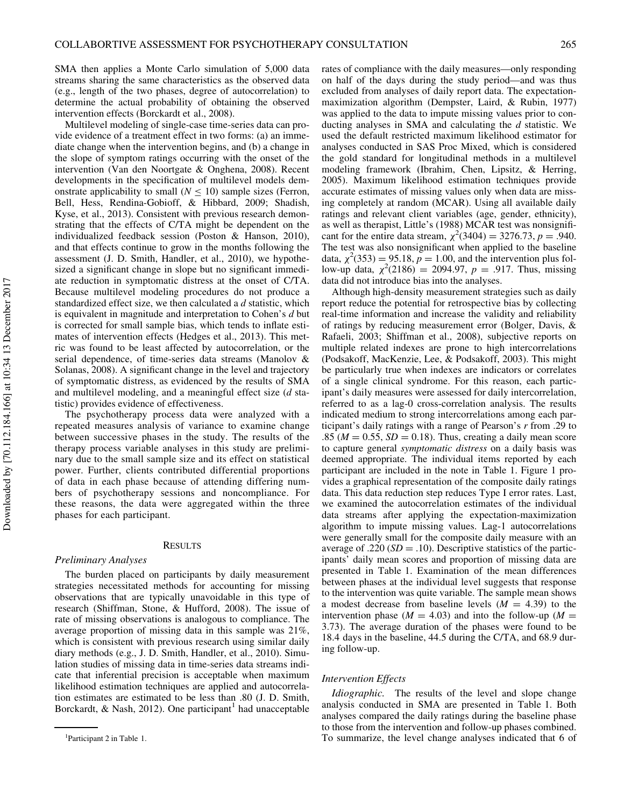SMA then applies a Monte Carlo simulation of 5,000 data streams sharing the same characteristics as the observed data (e.g., length of the two phases, degree of autocorrelation) to determine the actual probability of obtaining the observed intervention effects (Borckardt et al., 2008).

Multilevel modeling of single-case time-series data can provide evidence of a treatment effect in two forms: (a) an immediate change when the intervention begins, and (b) a change in the slope of symptom ratings occurring with the onset of the intervention (Van den Noortgate & Onghena, 2008). Recent developments in the specification of multilevel models demonstrate applicability to small ( $N \le 10$ ) sample sizes (Ferron, Bell, Hess, Rendina-Gobioff, & Hibbard, 2009; Shadish, Kyse, et al., 2013). Consistent with previous research demonstrating that the effects of C/TA might be dependent on the individualized feedback session (Poston & Hanson, 2010), and that effects continue to grow in the months following the assessment (J. D. Smith, Handler, et al., 2010), we hypothesized a significant change in slope but no significant immediate reduction in symptomatic distress at the onset of C/TA. Because multilevel modeling procedures do not produce a standardized effect size, we then calculated a d statistic, which is equivalent in magnitude and interpretation to Cohen's d but is corrected for small sample bias, which tends to inflate estimates of intervention effects (Hedges et al., 2013). This metric was found to be least affected by autocorrelation, or the serial dependence, of time-series data streams (Manolov & Solanas, 2008). A significant change in the level and trajectory of symptomatic distress, as evidenced by the results of SMA and multilevel modeling, and a meaningful effect size (d statistic) provides evidence of effectiveness.

The psychotherapy process data were analyzed with a repeated measures analysis of variance to examine change between successive phases in the study. The results of the therapy process variable analyses in this study are preliminary due to the small sample size and its effect on statistical power. Further, clients contributed differential proportions of data in each phase because of attending differing numbers of psychotherapy sessions and noncompliance. For these reasons, the data were aggregated within the three phases for each participant.

#### RESULTS

#### Preliminary Analyses

The burden placed on participants by daily measurement strategies necessitated methods for accounting for missing observations that are typically unavoidable in this type of research (Shiffman, Stone, & Hufford, 2008). The issue of rate of missing observations is analogous to compliance. The average proportion of missing data in this sample was 21%, which is consistent with previous research using similar daily diary methods (e.g., J. D. Smith, Handler, et al., 2010). Simulation studies of missing data in time-series data streams indicate that inferential precision is acceptable when maximum likelihood estimation techniques are applied and autocorrelation estimates are estimated to be less than .80 (J. D. Smith, Borckardt, & Nash, 2012). One participant<sup>1</sup> had unacceptable

rates of compliance with the daily measures—only responding on half of the days during the study period—and was thus excluded from analyses of daily report data. The expectationmaximization algorithm (Dempster, Laird, & Rubin, 1977) was applied to the data to impute missing values prior to conducting analyses in SMA and calculating the d statistic. We used the default restricted maximum likelihood estimator for analyses conducted in SAS Proc Mixed, which is considered the gold standard for longitudinal methods in a multilevel modeling framework (Ibrahim, Chen, Lipsitz, & Herring, 2005). Maximum likelihood estimation techniques provide accurate estimates of missing values only when data are missing completely at random (MCAR). Using all available daily ratings and relevant client variables (age, gender, ethnicity), as well as therapist, Little's (1988) MCAR test was nonsignificant for the entire data stream,  $\chi^2(3404) = 3276.73$ ,  $p = .940$ . The test was also nonsignificant when applied to the baseline data,  $\chi^2(353) = 95.18$ ,  $p = 1.00$ , and the intervention plus follow-up data,  $\chi^2(2186) = 2094.97$ ,  $p = .917$ . Thus, missing data did not introduce bias into the analyses.

Although high-density measurement strategies such as daily report reduce the potential for retrospective bias by collecting real-time information and increase the validity and reliability of ratings by reducing measurement error (Bolger, Davis, & Rafaeli, 2003; Shiffman et al., 2008), subjective reports on multiple related indexes are prone to high intercorrelations (Podsakoff, MacKenzie, Lee, & Podsakoff, 2003). This might be particularly true when indexes are indicators or correlates of a single clinical syndrome. For this reason, each participant's daily measures were assessed for daily intercorrelation, referred to as a lag-0 cross-correlation analysis. The results indicated medium to strong intercorrelations among each participant's daily ratings with a range of Pearson's r from .29 to .85 ( $M = 0.55$ ,  $SD = 0.18$ ). Thus, creating a daily mean score to capture general symptomatic distress on a daily basis was deemed appropriate. The individual items reported by each participant are included in the note in Table 1. Figure 1 provides a graphical representation of the composite daily ratings data. This data reduction step reduces Type I error rates. Last, we examined the autocorrelation estimates of the individual data streams after applying the expectation-maximization algorithm to impute missing values. Lag-1 autocorrelations were generally small for the composite daily measure with an average of .220 ( $SD = .10$ ). Descriptive statistics of the participants' daily mean scores and proportion of missing data are presented in Table 1. Examination of the mean differences between phases at the individual level suggests that response to the intervention was quite variable. The sample mean shows a modest decrease from baseline levels  $(M = 4.39)$  to the intervention phase ( $M = 4.03$ ) and into the follow-up ( $M =$ 3.73). The average duration of the phases were found to be 18.4 days in the baseline, 44.5 during the C/TA, and 68.9 during follow-up.

#### Intervention Effects

Idiographic. The results of the level and slope change analysis conducted in SMA are presented in Table 1. Both analyses compared the daily ratings during the baseline phase to those from the intervention and follow-up phases combined. To summarize, the level change analyses indicated that 6 of

<sup>&</sup>lt;sup>1</sup>Participant 2 in Table 1.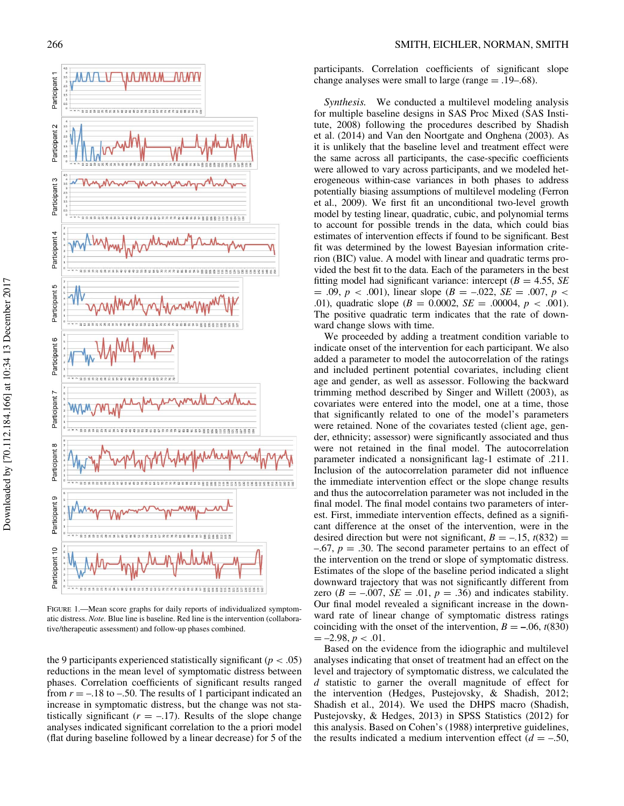

FIGURE 1.—Mean score graphs for daily reports of individualized symptomatic distress. Note. Blue line is baseline. Red line is the intervention (collaborative/therapeutic assessment) and follow-up phases combined.

the 9 participants experienced statistically significant ( $p < .05$ ) reductions in the mean level of symptomatic distress between phases. Correlation coefficients of significant results ranged from  $r = -.18$  to –.50. The results of 1 participant indicated an increase in symptomatic distress, but the change was not statistically significant ( $r = -.17$ ). Results of the slope change analyses indicated significant correlation to the a priori model (flat during baseline followed by a linear decrease) for 5 of the

participants. Correlation coefficients of significant slope change analyses were small to large (range  $= .19-.68$ ).

Synthesis. We conducted a multilevel modeling analysis for multiple baseline designs in SAS Proc Mixed (SAS Institute, 2008) following the procedures described by Shadish et al. (2014) and Van den Noortgate and Onghena (2003). As it is unlikely that the baseline level and treatment effect were the same across all participants, the case-specific coefficients were allowed to vary across participants, and we modeled heterogeneous within-case variances in both phases to address potentially biasing assumptions of multilevel modeling (Ferron et al., 2009). We first fit an unconditional two-level growth model by testing linear, quadratic, cubic, and polynomial terms to account for possible trends in the data, which could bias estimates of intervention effects if found to be significant. Best fit was determined by the lowest Bayesian information criterion (BIC) value. A model with linear and quadratic terms provided the best fit to the data. Each of the parameters in the best fitting model had significant variance: intercept ( $B = 4.55$ , SE  $= .09, p < .001$ , linear slope ( $B = -.022, SE = .007, p <$ .01), quadratic slope  $(B = 0.0002, \, SE = .00004, \, p < .001)$ . The positive quadratic term indicates that the rate of downward change slows with time.

We proceeded by adding a treatment condition variable to indicate onset of the intervention for each participant. We also added a parameter to model the autocorrelation of the ratings and included pertinent potential covariates, including client age and gender, as well as assessor. Following the backward trimming method described by Singer and Willett (2003), as covariates were entered into the model, one at a time, those that significantly related to one of the model's parameters were retained. None of the covariates tested (client age, gender, ethnicity; assessor) were significantly associated and thus were not retained in the final model. The autocorrelation parameter indicated a nonsignificant lag-1 estimate of .211. Inclusion of the autocorrelation parameter did not influence the immediate intervention effect or the slope change results and thus the autocorrelation parameter was not included in the final model. The final model contains two parameters of interest. First, immediate intervention effects, defined as a significant difference at the onset of the intervention, were in the desired direction but were not significant,  $B = -.15$ ,  $t(832) =$  $-0.67$ ,  $p = .30$ . The second parameter pertains to an effect of the intervention on the trend or slope of symptomatic distress. Estimates of the slope of the baseline period indicated a slight downward trajectory that was not significantly different from zero ( $B = -0.007$ ,  $SE = .01$ ,  $p = .36$ ) and indicates stability. Our final model revealed a significant increase in the downward rate of linear change of symptomatic distress ratings coinciding with the onset of the intervention,  $B = -.06$ ,  $t(830)$  $=-2.98, p < .01.$ 

Based on the evidence from the idiographic and multilevel analyses indicating that onset of treatment had an effect on the level and trajectory of symptomatic distress, we calculated the d statistic to garner the overall magnitude of effect for the intervention (Hedges, Pustejovsky, & Shadish, 2012; Shadish et al., 2014). We used the DHPS macro (Shadish, Pustejovsky, & Hedges, 2013) in SPSS Statistics (2012) for this analysis. Based on Cohen's (1988) interpretive guidelines, the results indicated a medium intervention effect ( $d = -.50$ ,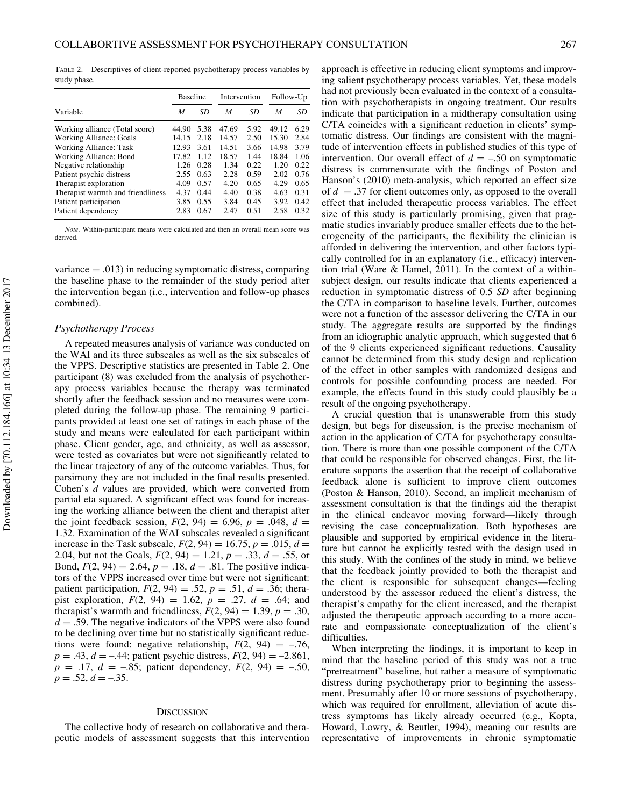TABLE 2.—Descriptives of client-reported psychotherapy process variables by study phase.

|                                   | <b>Baseline</b> |      | Intervention |      | Follow-Up |      |  |
|-----------------------------------|-----------------|------|--------------|------|-----------|------|--|
| Variable                          | M               | SD   | M            | SD   | M         | SD   |  |
| Working alliance (Total score)    | 44.90           | 5.38 | 47.69        | 5.92 | 49.12     | 6.29 |  |
| <b>Working Alliance: Goals</b>    | 14.15           | 2.18 | 14.57        | 2.50 | 15.30     | 2.84 |  |
| Working Alliance: Task            | 12.93           | 3.61 | 14.51        | 3.66 | 14.98     | 3.79 |  |
| Working Alliance: Bond            | 17.82           | 1.12 | 18.57        | 1.44 | 18.84     | 1.06 |  |
| Negative relationship             | 1.26            | 0.28 | 1.34         | 0.22 | 1.20      | 0.22 |  |
| Patient psychic distress          | 2.55            | 0.63 | 2.28         | 0.59 | 2.02      | 0.76 |  |
| Therapist exploration             | 4.09            | 0.57 | 4.20         | 0.65 | 4.29      | 0.65 |  |
| Therapist warmth and friendliness | 4.37            | 0.44 | 4.40         | 0.38 | 4.63      | 0.31 |  |
| Patient participation             | 3.85            | 0.55 | 3.84         | 0.45 | 3.92      | 0.42 |  |
| Patient dependency                | 2.83            | 0.67 | 2.47         | 0.51 | 2.58      | 0.32 |  |

Note. Within-participant means were calculated and then an overall mean score was derived.

variance  $= .013$ ) in reducing symptomatic distress, comparing the baseline phase to the remainder of the study period after the intervention began (i.e., intervention and follow-up phases combined).

### Psychotherapy Process

A repeated measures analysis of variance was conducted on the WAI and its three subscales as well as the six subscales of the VPPS. Descriptive statistics are presented in Table 2. One participant (8) was excluded from the analysis of psychotherapy process variables because the therapy was terminated shortly after the feedback session and no measures were completed during the follow-up phase. The remaining 9 participants provided at least one set of ratings in each phase of the study and means were calculated for each participant within phase. Client gender, age, and ethnicity, as well as assessor, were tested as covariates but were not significantly related to the linear trajectory of any of the outcome variables. Thus, for parsimony they are not included in the final results presented. Cohen's d values are provided, which were converted from partial eta squared. A significant effect was found for increasing the working alliance between the client and therapist after the joint feedback session,  $F(2, 94) = 6.96$ ,  $p = .048$ ,  $d =$ 1.32. Examination of the WAI subscales revealed a significant increase in the Task subscale,  $F(2, 94) = 16.75$ ,  $p = .015$ ,  $d =$ 2.04, but not the Goals,  $F(2, 94) = 1.21$ ,  $p = .33$ ,  $d = .55$ , or Bond,  $F(2, 94) = 2.64$ ,  $p = .18$ ,  $d = .81$ . The positive indicators of the VPPS increased over time but were not significant: patient participation,  $F(2, 94) = .52$ ,  $p = .51$ ,  $d = .36$ ; therapist exploration,  $F(2, 94) = 1.62$ ,  $p = .27$ ,  $d = .64$ ; and therapist's warmth and friendliness,  $F(2, 94) = 1.39, p = .30$ ,  $d = 0.59$ . The negative indicators of the VPPS were also found to be declining over time but no statistically significant reductions were found: negative relationship,  $F(2, 94) = -.76$ ,  $p = .43, d = -.44$ ; patient psychic distress,  $F(2, 94) = -2.861$ ,  $p = .17$ ,  $d = -.85$ ; patient dependency,  $F(2, 94) = -.50$ ,  $p = .52, d = -.35.$ 

#### **DISCUSSION**

The collective body of research on collaborative and therapeutic models of assessment suggests that this intervention approach is effective in reducing client symptoms and improving salient psychotherapy process variables. Yet, these models had not previously been evaluated in the context of a consultation with psychotherapists in ongoing treatment. Our results indicate that participation in a midtherapy consultation using C/TA coincides with a significant reduction in clients' symptomatic distress. Our findings are consistent with the magnitude of intervention effects in published studies of this type of intervention. Our overall effect of  $d = -.50$  on symptomatic distress is commensurate with the findings of Poston and Hanson's (2010) meta-analysis, which reported an effect size of  $d = 0.37$  for client outcomes only, as opposed to the overall effect that included therapeutic process variables. The effect size of this study is particularly promising, given that pragmatic studies invariably produce smaller effects due to the heterogeneity of the participants, the flexibility the clinician is afforded in delivering the intervention, and other factors typically controlled for in an explanatory (i.e., efficacy) intervention trial (Ware & Hamel, 2011). In the context of a withinsubject design, our results indicate that clients experienced a reduction in symptomatic distress of 0.5 SD after beginning the C/TA in comparison to baseline levels. Further, outcomes were not a function of the assessor delivering the C/TA in our study. The aggregate results are supported by the findings from an idiographic analytic approach, which suggested that 6 of the 9 clients experienced significant reductions. Causality cannot be determined from this study design and replication of the effect in other samples with randomized designs and controls for possible confounding process are needed. For example, the effects found in this study could plausibly be a result of the ongoing psychotherapy.

A crucial question that is unanswerable from this study design, but begs for discussion, is the precise mechanism of action in the application of C/TA for psychotherapy consultation. There is more than one possible component of the C/TA that could be responsible for observed changes. First, the literature supports the assertion that the receipt of collaborative feedback alone is sufficient to improve client outcomes (Poston & Hanson, 2010). Second, an implicit mechanism of assessment consultation is that the findings aid the therapist in the clinical endeavor moving forward—likely through revising the case conceptualization. Both hypotheses are plausible and supported by empirical evidence in the literature but cannot be explicitly tested with the design used in this study. With the confines of the study in mind, we believe that the feedback jointly provided to both the therapist and the client is responsible for subsequent changes—feeling understood by the assessor reduced the client's distress, the therapist's empathy for the client increased, and the therapist adjusted the therapeutic approach according to a more accurate and compassionate conceptualization of the client's difficulties.

When interpreting the findings, it is important to keep in mind that the baseline period of this study was not a true "pretreatment" baseline, but rather a measure of symptomatic distress during psychotherapy prior to beginning the assessment. Presumably after 10 or more sessions of psychotherapy, which was required for enrollment, alleviation of acute distress symptoms has likely already occurred (e.g., Kopta, Howard, Lowry, & Beutler, 1994), meaning our results are representative of improvements in chronic symptomatic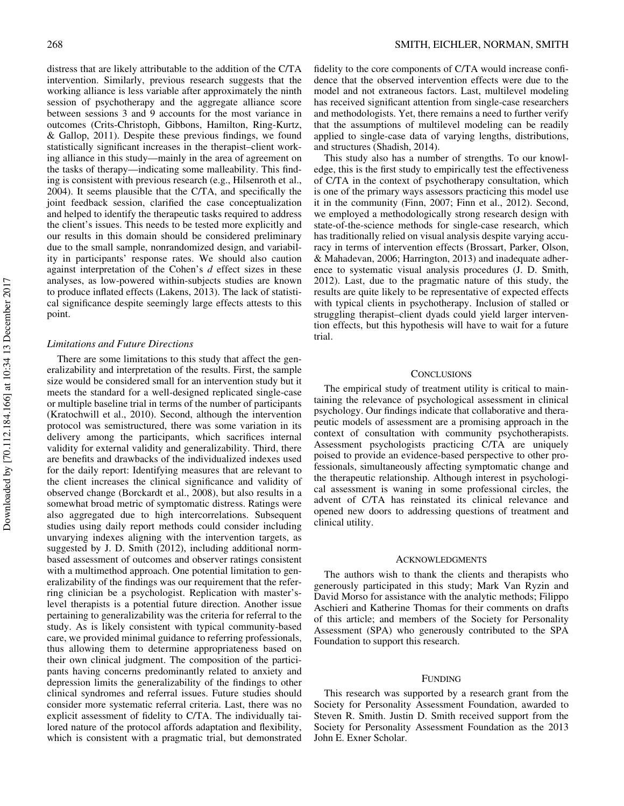distress that are likely attributable to the addition of the C/TA intervention. Similarly, previous research suggests that the working alliance is less variable after approximately the ninth session of psychotherapy and the aggregate alliance score between sessions 3 and 9 accounts for the most variance in outcomes (Crits-Christoph, Gibbons, Hamilton, Ring-Kurtz, & Gallop, 2011). Despite these previous findings, we found statistically significant increases in the therapist–client working alliance in this study—mainly in the area of agreement on the tasks of therapy—indicating some malleability. This finding is consistent with previous research (e.g., Hilsenroth et al., 2004). It seems plausible that the C/TA, and specifically the joint feedback session, clarified the case conceptualization and helped to identify the therapeutic tasks required to address the client's issues. This needs to be tested more explicitly and our results in this domain should be considered preliminary due to the small sample, nonrandomized design, and variability in participants' response rates. We should also caution against interpretation of the Cohen's d effect sizes in these analyses, as low-powered within-subjects studies are known to produce inflated effects (Lakens, 2013). The lack of statistical significance despite seemingly large effects attests to this point.

#### Limitations and Future Directions

There are some limitations to this study that affect the generalizability and interpretation of the results. First, the sample size would be considered small for an intervention study but it meets the standard for a well-designed replicated single-case or multiple baseline trial in terms of the number of participants (Kratochwill et al., 2010). Second, although the intervention protocol was semistructured, there was some variation in its delivery among the participants, which sacrifices internal validity for external validity and generalizability. Third, there are benefits and drawbacks of the individualized indexes used for the daily report: Identifying measures that are relevant to the client increases the clinical significance and validity of observed change (Borckardt et al., 2008), but also results in a somewhat broad metric of symptomatic distress. Ratings were also aggregated due to high intercorrelations. Subsequent studies using daily report methods could consider including unvarying indexes aligning with the intervention targets, as suggested by J. D. Smith (2012), including additional normbased assessment of outcomes and observer ratings consistent with a multimethod approach. One potential limitation to generalizability of the findings was our requirement that the referring clinician be a psychologist. Replication with master'slevel therapists is a potential future direction. Another issue pertaining to generalizability was the criteria for referral to the study. As is likely consistent with typical community-based care, we provided minimal guidance to referring professionals, thus allowing them to determine appropriateness based on their own clinical judgment. The composition of the participants having concerns predominantly related to anxiety and depression limits the generalizability of the findings to other clinical syndromes and referral issues. Future studies should consider more systematic referral criteria. Last, there was no explicit assessment of fidelity to C/TA. The individually tailored nature of the protocol affords adaptation and flexibility, which is consistent with a pragmatic trial, but demonstrated

fidelity to the core components of C/TA would increase confidence that the observed intervention effects were due to the model and not extraneous factors. Last, multilevel modeling has received significant attention from single-case researchers and methodologists. Yet, there remains a need to further verify that the assumptions of multilevel modeling can be readily applied to single-case data of varying lengths, distributions, and structures (Shadish, 2014).

This study also has a number of strengths. To our knowledge, this is the first study to empirically test the effectiveness of C/TA in the context of psychotherapy consultation, which is one of the primary ways assessors practicing this model use it in the community (Finn, 2007; Finn et al., 2012). Second, we employed a methodologically strong research design with state-of-the-science methods for single-case research, which has traditionally relied on visual analysis despite varying accuracy in terms of intervention effects (Brossart, Parker, Olson, & Mahadevan, 2006; Harrington, 2013) and inadequate adherence to systematic visual analysis procedures (J. D. Smith, 2012). Last, due to the pragmatic nature of this study, the results are quite likely to be representative of expected effects with typical clients in psychotherapy. Inclusion of stalled or struggling therapist–client dyads could yield larger intervention effects, but this hypothesis will have to wait for a future trial.

#### **CONCLUSIONS**

The empirical study of treatment utility is critical to maintaining the relevance of psychological assessment in clinical psychology. Our findings indicate that collaborative and therapeutic models of assessment are a promising approach in the context of consultation with community psychotherapists. Assessment psychologists practicing C/TA are uniquely poised to provide an evidence-based perspective to other professionals, simultaneously affecting symptomatic change and the therapeutic relationship. Although interest in psychological assessment is waning in some professional circles, the advent of C/TA has reinstated its clinical relevance and opened new doors to addressing questions of treatment and clinical utility.

#### ACKNOWLEDGMENTS

The authors wish to thank the clients and therapists who generously participated in this study; Mark Van Ryzin and David Morso for assistance with the analytic methods; Filippo Aschieri and Katherine Thomas for their comments on drafts of this article; and members of the Society for Personality Assessment (SPA) who generously contributed to the SPA Foundation to support this research.

#### FUNDING

This research was supported by a research grant from the Society for Personality Assessment Foundation, awarded to Steven R. Smith. Justin D. Smith received support from the Society for Personality Assessment Foundation as the 2013 John E. Exner Scholar.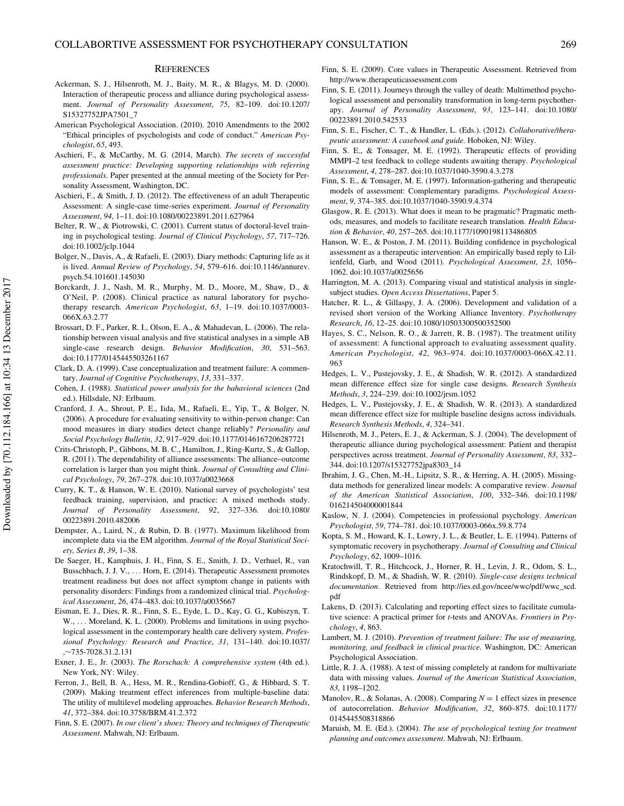#### **REFERENCES**

- Ackerman, S. J., Hilsenroth, M. J., Baity, M. R., & Blagys, M. D. (2000). Interaction of therapeutic process and alliance during psychological assessment. Journal of Personality Assessment, 75, 82–109. doi:10.1207/ S15327752JPA7501\_7
- American Psychological Association. (2010). 2010 Amendments to the 2002 "Ethical principles of psychologists and code of conduct." American Psychologist, 65, 493.
- Aschieri, F., & McCarthy, M. G. (2014, March). The secrets of successful assessment practice: Developing supporting relationships with referring professionals. Paper presented at the annual meeting of the Society for Personality Assessment, Washington, DC.
- Aschieri, F., & Smith, J. D. (2012). The effectiveness of an adult Therapeutic Assessment: A single-case time-series experiment. Journal of Personality Assessment, 94, 1–11. doi:10.1080/00223891.2011.627964
- Belter, R. W., & Piotrowski, C. (2001). Current status of doctoral-level training in psychological testing. Journal of Clinical Psychology, 57, 717–726. doi:10.1002/jclp.1044
- Bolger, N., Davis, A., & Rafaeli, E. (2003). Diary methods: Capturing life as it is lived. Annual Review of Psychology, 54, 579–616. doi:10.1146/annurev. psych.54.101601.145030
- Borckardt, J. J., Nash, M. R., Murphy, M. D., Moore, M., Shaw, D., & O'Neil, P. (2008). Clinical practice as natural laboratory for psychotherapy research. American Psychologist, 63, 1-19. doi:10.1037/0003-066X.63.2.77
- Brossart, D. F., Parker, R. I., Olson, E. A., & Mahadevan, L. (2006). The relationship between visual analysis and five statistical analyses in a simple AB single-case research design. Behavior Modification, 30, 531-563. doi:10.1177/0145445503261167
- Clark, D. A. (1999). Case conceptualization and treatment failure: A commentary. Journal of Cognitive Psychotherapy, 13, 331–337.
- Cohen, J. (1988). Statistical power analysis for the bahavioral sciences (2nd ed.). Hillsdale, NJ: Erlbaum.
- Cranford, J. A., Shrout, P. E., Iida, M., Rafaeli, E., Yip, T., & Bolger, N. (2006). A procedure for evaluating sensitivity to within-person change: Can mood measures in diary studies detect change reliably? Personality and Social Psychology Bulletin, 32, 917–929. doi:10.1177/0146167206287721
- Crits-Christoph, P., Gibbons, M. B. C., Hamilton, J., Ring-Kurtz, S., & Gallop, R. (2011). The dependability of alliance assessments: The alliance–outcome correlation is larger than you might think. Journal of Consulting and Clinical Psychology, 79, 267–278. doi:10.1037/a0023668
- Curry, K. T., & Hanson, W. E. (2010). National survey of psychologists' test feedback training, supervision, and practice: A mixed methods study. Journal of Personality Assessment, 92, 327–336. doi:10.1080/ 00223891.2010.482006
- Dempster, A., Laird, N., & Rubin, D. B. (1977). Maximum likelihood from incomplete data via the EM algorithm. Journal of the Royal Statistical Society, Series B, 39, 1–38.
- De Saeger, H., Kamphuis, J. H., Finn, S. E., Smith, J. D., Verhuel, R., van Busschbach, J. J. V., ... Horn, E. (2014). Therapeutic Assessment promotes treatment readiness but does not affect symptom change in patients with personality disorders: Findings from a randomized clinical trial. Psychological Assessment, 26, 474–483. doi:10.1037/a0035667
- Eisman, E. J., Dies, R. R., Finn, S. E., Eyde, L. D., Kay, G. G., Kubiszyn, T. W., ... Moreland, K. L. (2000). Problems and limitations in using psychological assessment in the contemporary health care delivery system. Professional Psychology: Research and Practice, 31, 131–140. doi:10.1037/  $, \sim$ 735-7028.31.2.131
- Exner, J. E., Jr. (2003). The Rorschach: A comprehensive system (4th ed.). New York, NY: Wiley.
- Ferron, J., Bell, B. A., Hess, M. R., Rendina-Gobioff, G., & Hibbard, S. T. (2009). Making treatment effect inferences from multiple-baseline data: The utility of multilevel modeling approaches. Behavior Research Methods, 41, 372–384. doi:10.3758/BRM.41.2.372
- Finn, S. E. (2007). In our client's shoes: Theory and techniques of Therapeutic Assessment. Mahwah, NJ: Erlbaum.
- Finn, S. E. (2009). Core values in Therapeutic Assessment. Retrieved from <http://www.therapeuticassessment.com>
- Finn, S. E. (2011). Journeys through the valley of death: Multimethod psychological assessment and personality transformation in long-term psychotherapy. Journal of Personality Assessment, 93, 123–141. doi:10.1080/ 00223891.2010.542533
- Finn, S. E., Fischer, C. T., & Handler, L. (Eds.). (2012). Collaborative/therapeutic assessment: A casebook and guide. Hoboken, NJ: Wiley.
- Finn, S. E., & Tonsager, M. E. (1992). Therapeutic effects of providing MMPI–2 test feedback to college students awaiting therapy. Psychological Assessment, 4, 278–287. doi:10.1037/1040-3590.4.3.278
- Finn, S. E., & Tonsager, M. E. (1997). Information-gathering and therapeutic models of assessment: Complementary paradigms. Psychological Assessment, 9, 374–385. doi:10.1037/1040-3590.9.4.374
- Glasgow, R. E. (2013). What does it mean to be pragmatic? Pragmatic methods, measures, and models to facilitate research translation. Health Education & Behavior, 40, 257–265. doi:10.1177/1090198113486805
- Hanson, W. E., & Poston, J. M. (2011). Building confidence in psychological assessment as a therapeutic intervention: An empirically based reply to Lilienfeld, Garb, and Wood (2011). Psychological Assessment, 23, 1056– 1062. doi:10.1037/a0025656
- Harrington, M. A. (2013). Comparing visual and statistical analysis in singlesubject studies. Open Access Dissertations, Paper 5.
- Hatcher, R. L., & Gillaspy, J. A. (2006). Development and validation of a revised short version of the Working Alliance Inventory. Psychotherapy Research, 16, 12–25. doi:10.1080/10503300500352500
- Hayes, S. C., Nelson, R. O., & Jarrett, R. B. (1987). The treatment utility of assessment: A functional approach to evaluating assessment quality. American Psychologist, 42, 963–974. doi:10.1037/0003-066X.42.11. 963
- Hedges, L. V., Pustejovsky, J. E., & Shadish, W. R. (2012). A standardized mean difference effect size for single case designs. Research Synthesis Methods, 3, 224–239. doi:10.1002/jrsm.1052
- Hedges, L. V., Pustejovsky, J. E., & Shadish, W. R. (2013). A standardized mean difference effect size for multiple baseline designs across individuals. Research Synthesis Methods, 4, 324–341.
- Hilsenroth, M. J., Peters, E. J., & Ackerman, S. J. (2004). The development of therapeutic alliance during psychological assessment: Patient and therapist perspectives across treatment. Journal of Personality Assessment, 83, 332– 344. doi:10.1207/s15327752jpa8303\_14
- Ibrahim, J. G., Chen, M.-H., Lipsitz, S. R., & Herring, A. H. (2005). Missingdata methods for generalized linear models: A comparative review. Journal of the American Statistical Association, 100, 332–346. doi:10.1198/ 016214504000001844
- Kaslow, N. J. (2004). Competencies in professional psychology. American Psychologist, 59, 774–781. doi:10.1037/0003-066x.59.8.774
- Kopta, S. M., Howard, K. I., Lowry, J. L., & Beutler, L. E. (1994). Patterns of symptomatic recovery in psychotherapy. Journal of Consulting and Clinical Psychology, 62, 1009–1016.
- Kratochwill, T. R., Hitchcock, J., Horner, R. H., Levin, J. R., Odom, S. L., Rindskopf, D. M., & Shadish, W. R. (2010). Single-case designs technical documentation. Retrieved from [http://ies.ed.gov/ncee/wwc/pdf/wwc\\_scd.](http://ies.ed.gov/ncee/wwc/pdf/wwc_scd.pdf) [pdf](http://ies.ed.gov/ncee/wwc/pdf/wwc_scd.pdf)
- Lakens, D. (2013). Calculating and reporting effect sizes to facilitate cumulative science: A practical primer for *t*-tests and ANOVAs. Frontiers in Psychology, 4, 863.
- Lambert, M. J. (2010). Prevention of treatment failure: The use of measuring, monitoring, and feedback in clinical practice. Washington, DC: American Psychological Association.
- Little, R. J. A. (1988). A test of missing completely at random for multivariate data with missing values. Journal of the American Statistical Association, 83, 1198–1202.
- Manolov, R., & Solanas, A. (2008). Comparing  $N = 1$  effect sizes in presence of autocorrelation. Behavior Modification, 32, 860–875. doi:10.1177/ 0145445508318866
- Maruish, M. E. (Ed.). (2004). The use of psychological testing for treatment planning and outcomes assessment. Mahwah, NJ: Erlbaum.